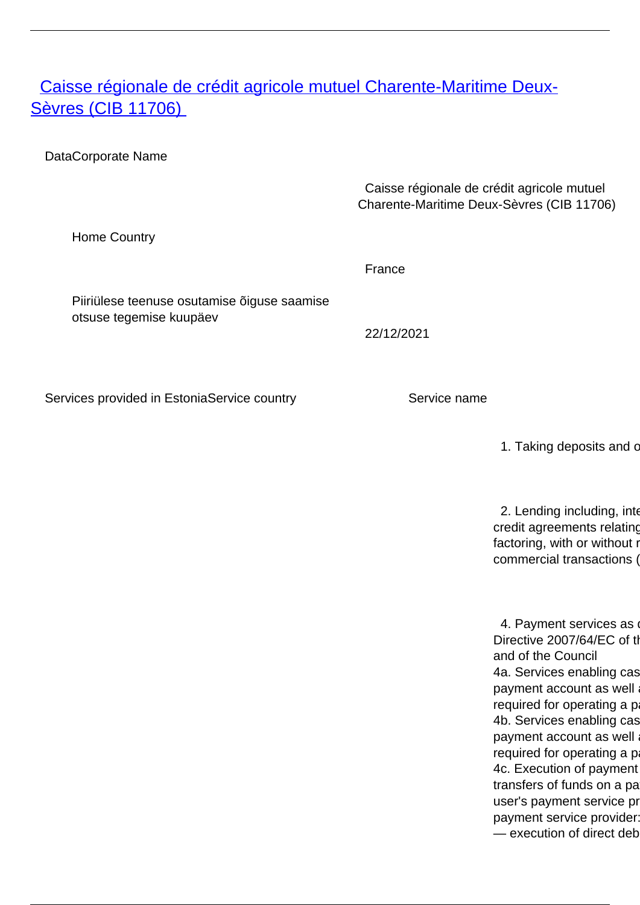## <span id="page-0-0"></span>[Caisse régionale de crédit agricole mutuel Charente-Maritime Deux-](/en/banking-and-credit/banking-and-credit/credit-institutions/providers-cross-border-banking-services/caisse-regionale-de-credit-agricole-mutuel-charente-maritime-deux-sevres-cib-11706)**[Sèvres \(CIB 11706\)](/en/banking-and-credit/banking-and-credit/credit-institutions/providers-cross-border-banking-services/caisse-regionale-de-credit-agricole-mutuel-charente-maritime-deux-sevres-cib-11706)**

DataCorporate Name

 Caisse régionale de crédit agricole mutuel Charente-Maritime Deux-Sèvres (CIB 11706)

Home Country

France

Piiriülese teenuse osutamise õiguse saamise otsuse tegemise kuupäev

22/12/2021

Services provided in EstoniaService country Service name

1. Taking deposits and c

2. Lending including, inter credit agreements relating factoring, with or without r commercial transactions (

4. Payment services as Directive 2007/64/EC of th and of the Council 4a. Services enabling cas payment account as well required for operating a p 4b. Services enabling cas payment account as well required for operating a p 4c. Execution of payment transfers of funds on a pa user's payment service pr payment service provider:  $-$  execution of direct deb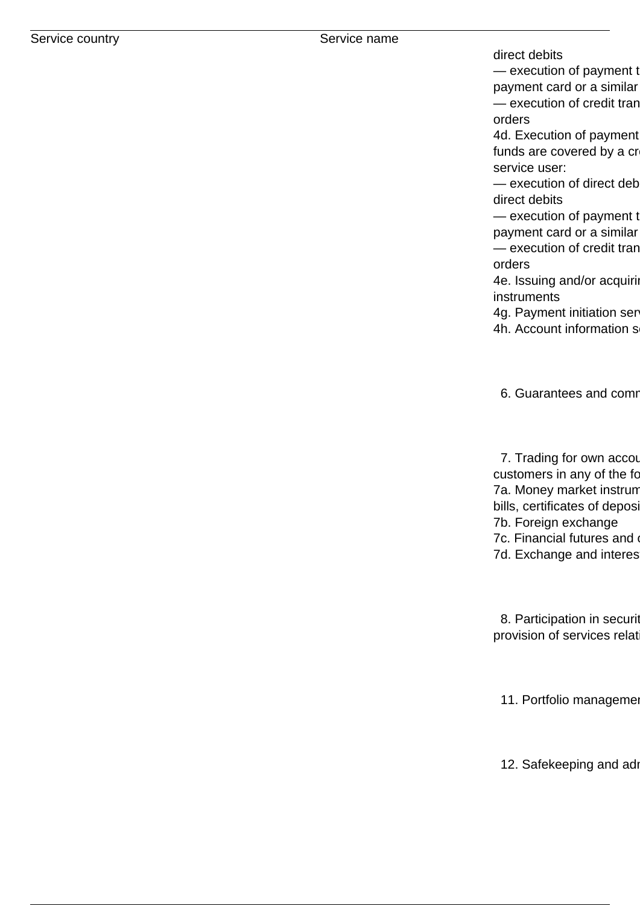direct debits

— execution of payment t payment card or a similar

— execution of credit tran orders

4d. Execution of payment funds are covered by a cr service user:

 $-$  execution of direct deb direct debits

— execution of payment to payment card or a similar — execution of credit tran orders

4e. Issuing and/or acquiring instruments

4g. Payment initiation ser

4h. Account information s

6. Guarantees and comr

7. Trading for own accou customers in any of the fo 7a. Money market instrum bills, certificates of deposi 7b. Foreign exchange 7c. Financial futures and 7d. Exchange and interes

8. Participation in securit provision of services relat

11. Portfolio management

12. Safekeeping and ad